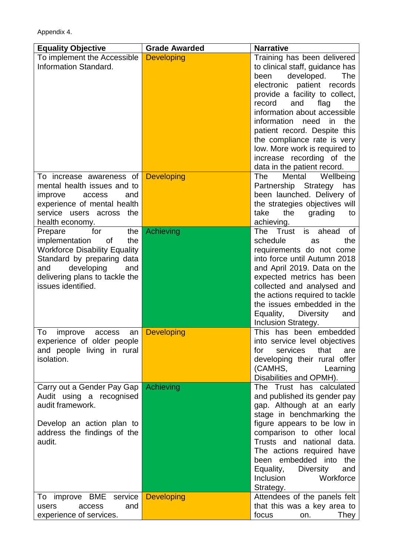Appendix 4.

| <b>Equality Objective</b>                                   | <b>Grade Awarded</b> | <b>Narrative</b>                                               |
|-------------------------------------------------------------|----------------------|----------------------------------------------------------------|
| To implement the Accessible<br><b>Information Standard.</b> | <b>Developing</b>    | Training has been delivered<br>to clinical staff, guidance has |
|                                                             |                      | developed.<br>The<br>been                                      |
|                                                             |                      | electronic patient records                                     |
|                                                             |                      | provide a facility to collect,                                 |
|                                                             |                      | record<br>and<br>flag<br>the<br>information about accessible   |
|                                                             |                      | information<br>the<br>need<br>in in                            |
|                                                             |                      | patient record. Despite this                                   |
|                                                             |                      | the compliance rate is very                                    |
|                                                             |                      | low. More work is required to                                  |
|                                                             |                      | increase recording of the                                      |
| To increase awareness of                                    | <b>Developing</b>    | data in the patient record.<br>The<br>Wellbeing<br>Mental      |
| mental health issues and to                                 |                      | Partnership Strategy<br>has                                    |
| improve<br>access<br>and                                    |                      | been launched. Delivery of                                     |
| experience of mental health                                 |                      | the strategies objectives will                                 |
| service users across the                                    |                      | take<br>the<br>grading<br>to                                   |
| health economy.<br>for<br>the<br>Prepare                    | Achieving            | achieving.<br>The Trust<br>is<br><b>of</b><br>ahead            |
| implementation<br>the<br><b>of</b>                          |                      | the<br>schedule<br>as                                          |
| <b>Workforce Disability Equality</b>                        |                      | requirements do not come                                       |
| Standard by preparing data                                  |                      | into force until Autumn 2018                                   |
| developing<br>and<br>and                                    |                      | and April 2019. Data on the                                    |
| delivering plans to tackle the<br>issues identified.        |                      | expected metrics has been<br>collected and analysed and        |
|                                                             |                      | the actions required to tackle                                 |
|                                                             |                      | the issues embedded in the                                     |
|                                                             |                      | Equality,<br><b>Diversity</b><br>and                           |
| To                                                          |                      | Inclusion Strategy.<br>This has been embedded                  |
| improve<br>access<br>an<br>experience of older people       | <b>Developing</b>    | into service level objectives                                  |
| and people living in rural                                  |                      | services<br>that<br>for<br>are                                 |
| isolation.                                                  |                      | developing their rural offer                                   |
|                                                             |                      | (CAMHS,<br>Learning                                            |
|                                                             | <b>Achieving</b>     | Disabilities and OPMH).<br>The Trust has calculated            |
| Carry out a Gender Pay Gap<br>Audit using a recognised      |                      | and published its gender pay                                   |
| audit framework.                                            |                      | gap. Although at an early                                      |
|                                                             |                      | stage in benchmarking the                                      |
| Develop an action plan to                                   |                      | figure appears to be low in                                    |
| address the findings of the                                 |                      | comparison to other local<br>Trusts and national data.         |
| audit.                                                      |                      | The actions required have                                      |
|                                                             |                      | been embedded into<br>the                                      |
|                                                             |                      | Equality, Diversity<br>and                                     |
|                                                             |                      | Inclusion<br>Workforce                                         |
| To improve BME service                                      | <b>Developing</b>    | Strategy.<br>Attendees of the panels felt                      |
| access<br>and<br>users                                      |                      | that this was a key area to                                    |
| experience of services.                                     |                      | focus<br>They $ $<br>on.                                       |